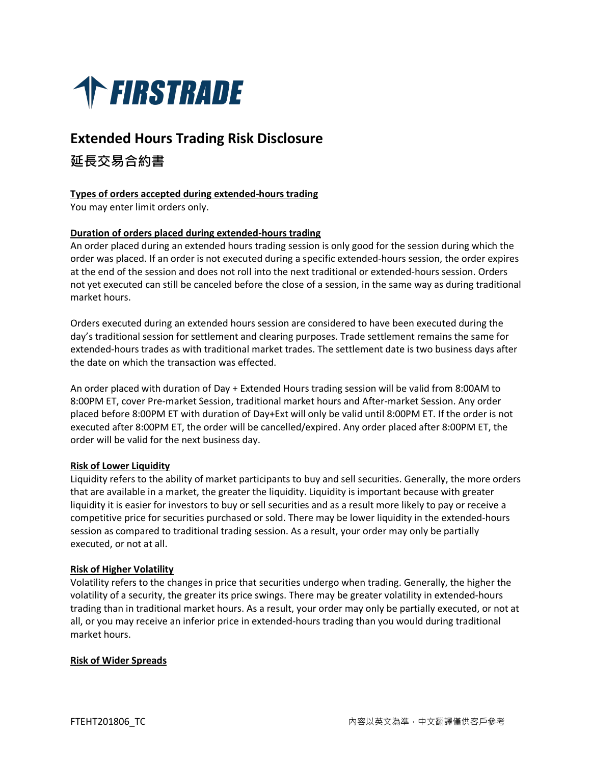

# **Extended Hours Trading Risk Disclosure**

## **延長交易合約書**

## **Types of orders accepted during extended-hours trading**

You may enter limit orders only.

## **Duration of orders placed during extended-hours trading**

An order placed during an extended hours trading session is only good for the session during which the order was placed. If an order is not executed during a specific extended-hours session, the order expires at the end of the session and does not roll into the next traditional or extended-hours session. Orders not yet executed can still be canceled before the close of a session, in the same way as during traditional market hours.

Orders executed during an extended hours session are considered to have been executed during the day's traditional session for settlement and clearing purposes. Trade settlement remains the same for extended-hours trades as with traditional market trades. The settlement date is two business days after the date on which the transaction was effected.

An order placed with duration of Day + Extended Hours trading session will be valid from 8:00AM to 8:00PM ET, cover Pre-market Session, traditional market hours and After-market Session. Any order placed before 8:00PM ET with duration of Day+Ext will only be valid until 8:00PM ET. If the order is not executed after 8:00PM ET, the order will be cancelled/expired. Any order placed after 8:00PM ET, the order will be valid for the next business day.

## **Risk of Lower Liquidity**

Liquidity refers to the ability of market participants to buy and sell securities. Generally, the more orders that are available in a market, the greater the liquidity. Liquidity is important because with greater liquidity it is easier for investors to buy or sell securities and as a result more likely to pay or receive a competitive price for securities purchased or sold. There may be lower liquidity in the extended-hours session as compared to traditional trading session. As a result, your order may only be partially executed, or not at all.

## **Risk of Higher Volatility**

Volatility refers to the changes in price that securities undergo when trading. Generally, the higher the volatility of a security, the greater its price swings. There may be greater volatility in extended-hours trading than in traditional market hours. As a result, your order may only be partially executed, or not at all, or you may receive an inferior price in extended-hours trading than you would during traditional market hours.

#### **Risk of Wider Spreads**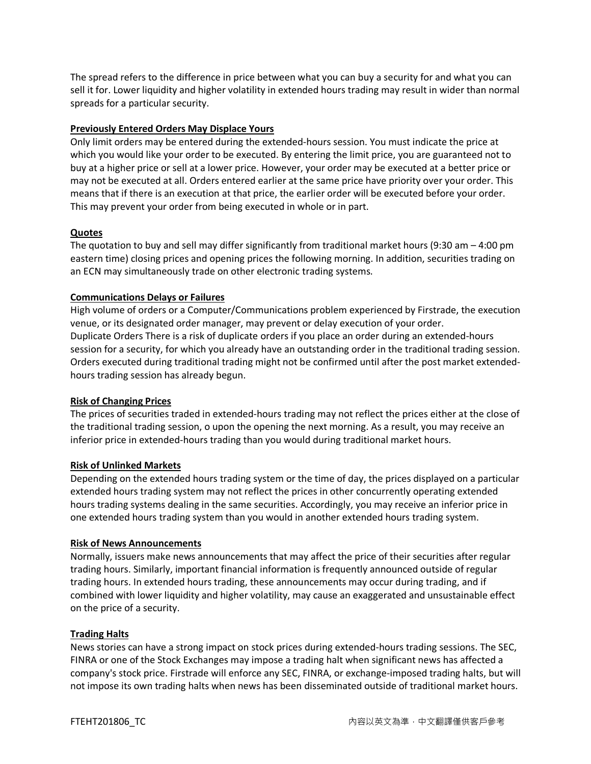The spread refers to the difference in price between what you can buy a security for and what you can sell it for. Lower liquidity and higher volatility in extended hours trading may result in wider than normal spreads for a particular security.

## **Previously Entered Orders May Displace Yours**

Only limit orders may be entered during the extended-hours session. You must indicate the price at which you would like your order to be executed. By entering the limit price, you are guaranteed not to buy at a higher price or sell at a lower price. However, your order may be executed at a better price or may not be executed at all. Orders entered earlier at the same price have priority over your order. This means that if there is an execution at that price, the earlier order will be executed before your order. This may prevent your order from being executed in whole or in part.

## **Quotes**

The quotation to buy and sell may differ significantly from traditional market hours (9:30 am – 4:00 pm eastern time) closing prices and opening prices the following morning. In addition, securities trading on an ECN may simultaneously trade on other electronic trading systems.

## **Communications Delays or Failures**

High volume of orders or a Computer/Communications problem experienced by Firstrade, the execution venue, or its designated order manager, may prevent or delay execution of your order. Duplicate Orders There is a risk of duplicate orders if you place an order during an extended-hours session for a security, for which you already have an outstanding order in the traditional trading session. Orders executed during traditional trading might not be confirmed until after the post market extendedhours trading session has already begun.

## **Risk of Changing Prices**

The prices of securities traded in extended-hours trading may not reflect the prices either at the close of the traditional trading session, o upon the opening the next morning. As a result, you may receive an inferior price in extended-hours trading than you would during traditional market hours.

## **Risk of Unlinked Markets**

Depending on the extended hours trading system or the time of day, the prices displayed on a particular extended hours trading system may not reflect the prices in other concurrently operating extended hours trading systems dealing in the same securities. Accordingly, you may receive an inferior price in one extended hours trading system than you would in another extended hours trading system.

## **Risk of News Announcements**

Normally, issuers make news announcements that may affect the price of their securities after regular trading hours. Similarly, important financial information is frequently announced outside of regular trading hours. In extended hours trading, these announcements may occur during trading, and if combined with lower liquidity and higher volatility, may cause an exaggerated and unsustainable effect on the price of a security.

## **Trading Halts**

News stories can have a strong impact on stock prices during extended-hours trading sessions. The SEC, FINRA or one of the Stock Exchanges may impose a trading halt when significant news has affected a company's stock price. Firstrade will enforce any SEC, FINRA, or exchange-imposed trading halts, but will not impose its own trading halts when news has been disseminated outside of traditional market hours.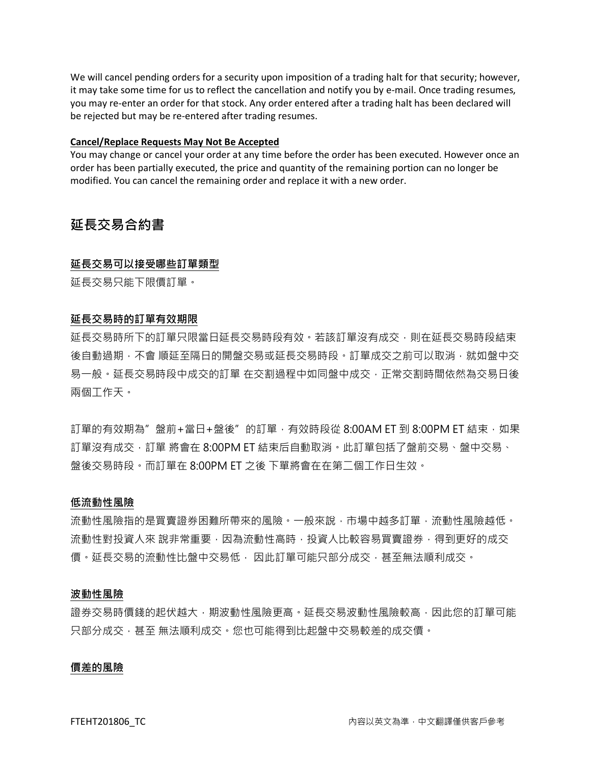We will cancel pending orders for a security upon imposition of a trading halt for that security; however, it may take some time for us to reflect the cancellation and notify you by e-mail. Once trading resumes, you may re-enter an order for that stock. Any order entered after a trading halt has been declared will be rejected but may be re-entered after trading resumes.

#### **Cancel/Replace Requests May Not Be Accepted**

You may change or cancel your order at any time before the order has been executed. However once an order has been partially executed, the price and quantity of the remaining portion can no longer be modified. You can cancel the remaining order and replace it with a new order.

## **延長交易合約書**

#### **延長交易可以接受哪些訂單類型**

延長交易只能下限價訂單。

## **延長交易時的訂單有效期限**

延長交易時所下的訂單只限當日延長交易時段有效。若該訂單沒有成交,則在延長交易時段結束 後自動過期,不會順延至隔日的開盤交易或延長交易時段。訂單成交之前可以取消,就如盤中交 易一般。延長交易時段中成交的訂單 在交割過程中如同盤中成交,正常交割時間依然為交易日後 兩個工作天。

訂單的有效期為"盤前+當日+盤後"的訂單,有效時段從 8:00AM ET 到 8:00PM ET 結束, 如果 訂單沒有成交,訂單 將會在 8:00PM ET 結束后自動取消。此訂單包括了盤前交易、盤中交易、 盤後交易時段。而訂單在 8:00PM ET 之後 下單將會在在第二個工作日生效。

#### **低流動性風險**

流動性風險指的是買賣證券困難所帶來的風險。一般來說,市場中越多訂單,流動性風險越低。 流動性對投資人來 說非常重要,因為流動性高時,投資人比較容易買賣證券,得到更好的成交 價。延長交易的流動性比盤中交易低, 因此訂單可能只部分成交,甚至無法順利成交。

#### **波動性風險**

證券交易時價錢的起伏越大,期波動性風險更高。延長交易波動性風險較高,因此您的訂單可能 只部分成交,甚至 無法順利成交。您也可能得到比起盤中交易較差的成交價。

#### **價差的風險**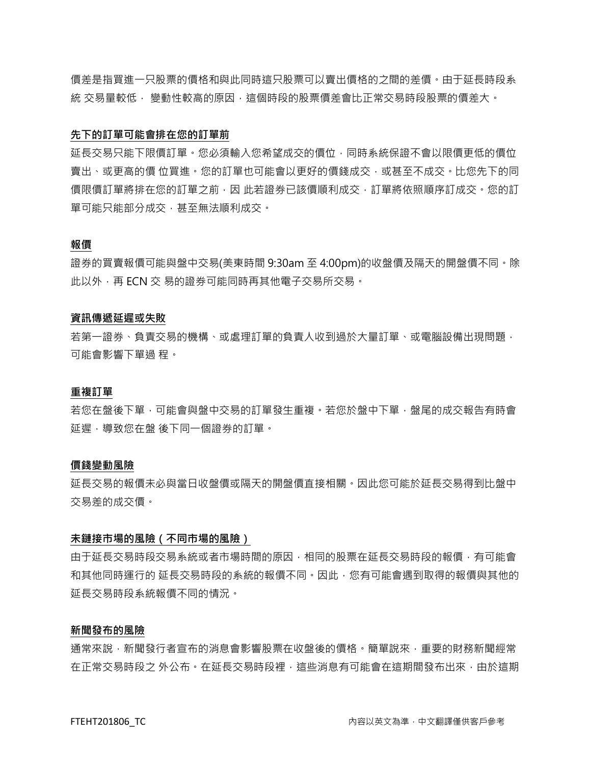價差是指買進一只股票的價格和與此同時這只股票可以賣出價格的之間的差價。由于延長時段系 統 交易量較低, 變動性較高的原因,這個時段的股票價差會比正常交易時段股票的價差大。

#### **先下的訂單可能會排在您的訂單前**

延長交易只能下限價訂單。您必須輸入您希望成交的價位,同時系統保證不會以限價更低的價位 賣出、或更高的價 位買進。您的訂單也可能會以更好的價錢成交,或甚至不成交。比您先下的同 價限價訂單將排在您的訂單之前,因 此若證券已該價順利成交,訂單將依照順序訂成交。您的訂 單可能只能部分成交,甚至無法順利成交。

## **報價**

證券的買賣報價可能與盤中交易(美東時間 9:30am 至 4:00pm)的收盤價及隔天的開盤價不同。除 此以外,再 ECN 交 易的證券可能同時再其他電子交易所交易。

#### **資訊傳遞延遲或失敗**

若第一證券、負責交易的機構、或處理訂單的負責人收到過於大量訂單、或電腦設備出現問題, 可能會影響下單過 程。

#### **重複訂單**

若您在盤後下單,可能會與盤中交易的訂單發生重複。若您於盤中下單,盤尾的成交報告有時會 延遲,導致您在盤 後下同一個證券的訂單。

#### **價錢變動風險**

延長交易的報價未必與當日收盤價或隔天的開盤價直接相關。因此您可能於延長交易得到比盤中 交易差的成交價。

#### **未鏈接市場的風險(不同市場的風險)**

由于延長交易時段交易系統或者市場時間的原因,相同的股票在延長交易時段的報價,有可能會 和其他同時運行的 延長交易時段的系統的報價不同。因此,您有可能會遇到取得的報價與其他的 延長交易時段系統報價不同的情況。

## **新聞發布的風險**

通常來說,新聞發行者宣布的消息會影響股票在收盤後的價格。簡單說來,重要的財務新聞經常 在正常交易時段之 外公布。在延長交易時段裡,這些消息有可能會在這期間發布出來,由於這期